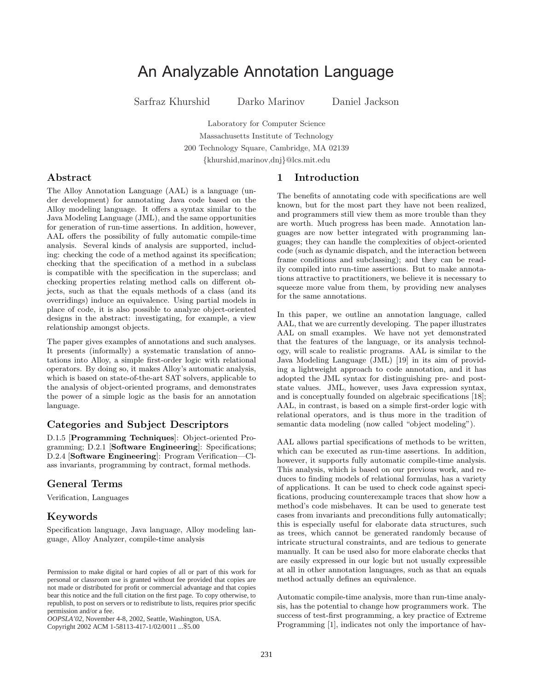# An Analyzable Annotation Language

Sarfraz Khurshid Darko Marinov Daniel Jackson

Laboratory for Computer Science Massachusetts Institute of Technology 200 Technology Square, Cambridge, MA 02139 {khurshid,marinov,dnj}@lcs.mit.edu

### Abstract

The Alloy Annotation Language (AAL) is a language (under development) for annotating Java code based on the Alloy modeling language. It offers a syntax similar to the Java Modeling Language (JML), and the same opportunities for generation of run-time assertions. In addition, however, AAL offers the possibility of fully automatic compile-time analysis. Several kinds of analysis are supported, including: checking the code of a method against its specification; checking that the specification of a method in a subclass is compatible with the specification in the superclass; and checking properties relating method calls on different objects, such as that the equals methods of a class (and its overridings) induce an equivalence. Using partial models in place of code, it is also possible to analyze object-oriented designs in the abstract: investigating, for example, a view relationship amongst objects.

The paper gives examples of annotations and such analyses. It presents (informally) a systematic translation of annotations into Alloy, a simple first-order logic with relational operators. By doing so, it makes Alloy's automatic analysis, which is based on state-of-the-art SAT solvers, applicable to the analysis of object-oriented programs, and demonstrates the power of a simple logic as the basis for an annotation language.

### Categories and Subject Descriptors

D.1.5 [Programming Techniques]: Object-oriented Programming; D.2.1 [Software Engineering]: Specifications; D.2.4 [Software Engineering]: Program Verification—Class invariants, programming by contract, formal methods.

# General Terms

Verification, Languages

### Keywords

Specification language, Java language, Alloy modeling language, Alloy Analyzer, compile-time analysis

*OOPSLA'02,* November 4-8, 2002, Seattle, Washington, USA. Copyright 2002 ACM 1-58113-417-1/02/0011 ...\$5.00

### 1 Introduction

The benefits of annotating code with specifications are well known, but for the most part they have not been realized, and programmers still view them as more trouble than they are worth. Much progress has been made. Annotation languages are now better integrated with programming languages; they can handle the complexities of object-oriented code (such as dynamic dispatch, and the interaction between frame conditions and subclassing); and they can be readily compiled into run-time assertions. But to make annotations attractive to practitioners, we believe it is necessary to squeeze more value from them, by providing new analyses for the same annotations.

In this paper, we outline an annotation language, called AAL, that we are currently developing. The paper illustrates AAL on small examples. We have not yet demonstrated that the features of the language, or its analysis technology, will scale to realistic programs. AAL is similar to the Java Modeling Language (JML) [19] in its aim of providing a lightweight approach to code annotation, and it has adopted the JML syntax for distinguishing pre- and poststate values. JML, however, uses Java expression syntax, and is conceptually founded on algebraic specifications [18]; AAL, in contrast, is based on a simple first-order logic with relational operators, and is thus more in the tradition of semantic data modeling (now called "object modeling").

AAL allows partial specifications of methods to be written, which can be executed as run-time assertions. In addition, however, it supports fully automatic compile-time analysis. This analysis, which is based on our previous work, and reduces to finding models of relational formulas, has a variety of applications. It can be used to check code against specifications, producing counterexample traces that show how a method's code misbehaves. It can be used to generate test cases from invariants and preconditions fully automatically; this is especially useful for elaborate data structures, such as trees, which cannot be generated randomly because of intricate structural constraints, and are tedious to generate manually. It can be used also for more elaborate checks that are easily expressed in our logic but not usually expressible at all in other annotation languages, such as that an equals method actually defines an equivalence.

Automatic compile-time analysis, more than run-time analysis, has the potential to change how programmers work. The success of test-first programming, a key practice of Extreme Programming [1], indicates not only the importance of hav-

Permission to make digital or hard copies of all or part of this work for personal or classroom use is granted without fee provided that copies are not made or distributed for profit or commercial advantage and that copies bear this notice and the full citation on the first page. To copy otherwise, to republish, to post on servers or to redistribute to lists, requires prior specific permission and/or a fee.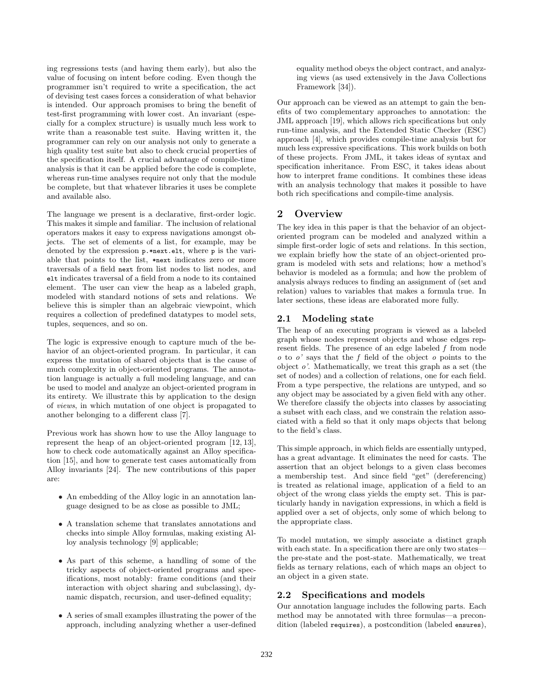ing regressions tests (and having them early), but also the value of focusing on intent before coding. Even though the programmer isn't required to write a specification, the act of devising test cases forces a consideration of what behavior is intended. Our approach promises to bring the benefit of test-first programming with lower cost. An invariant (especially for a complex structure) is usually much less work to write than a reasonable test suite. Having written it, the programmer can rely on our analysis not only to generate a high quality test suite but also to check crucial properties of the specification itself. A crucial advantage of compile-time analysis is that it can be applied before the code is complete, whereas run-time analyses require not only that the module be complete, but that whatever libraries it uses be complete and available also.

The language we present is a declarative, first-order logic. This makes it simple and familiar. The inclusion of relational operators makes it easy to express navigations amongst objects. The set of elements of a list, for example, may be denoted by the expression p.\*next.elt, where p is the variable that points to the list, \*next indicates zero or more traversals of a field next from list nodes to list nodes, and elt indicates traversal of a field from a node to its contained element. The user can view the heap as a labeled graph, modeled with standard notions of sets and relations. We believe this is simpler than an algebraic viewpoint, which requires a collection of predefined datatypes to model sets, tuples, sequences, and so on.

The logic is expressive enough to capture much of the behavior of an object-oriented program. In particular, it can express the mutation of shared objects that is the cause of much complexity in object-oriented programs. The annotation language is actually a full modeling language, and can be used to model and analyze an object-oriented program in its entirety. We illustrate this by application to the design of views, in which mutation of one object is propagated to another belonging to a different class [7].

Previous work has shown how to use the Alloy language to represent the heap of an object-oriented program [12, 13], how to check code automatically against an Alloy specification [15], and how to generate test cases automatically from Alloy invariants [24]. The new contributions of this paper are:

- An embedding of the Alloy logic in an annotation language designed to be as close as possible to JML;
- A translation scheme that translates annotations and checks into simple Alloy formulas, making existing Alloy analysis technology [9] applicable;
- As part of this scheme, a handling of some of the tricky aspects of object-oriented programs and specifications, most notably: frame conditions (and their interaction with object sharing and subclassing), dynamic dispatch, recursion, and user-defined equality;
- A series of small examples illustrating the power of the approach, including analyzing whether a user-defined

equality method obeys the object contract, and analyzing views (as used extensively in the Java Collections Framework [34]).

Our approach can be viewed as an attempt to gain the benefits of two complementary approaches to annotation: the JML approach [19], which allows rich specifications but only run-time analysis, and the Extended Static Checker (ESC) approach [4], which provides compile-time analysis but for much less expressive specifications. This work builds on both of these projects. From JML, it takes ideas of syntax and specification inheritance. From ESC, it takes ideas about how to interpret frame conditions. It combines these ideas with an analysis technology that makes it possible to have both rich specifications and compile-time analysis.

## 2 Overview

The key idea in this paper is that the behavior of an objectoriented program can be modeled and analyzed within a simple first-order logic of sets and relations. In this section, we explain briefly how the state of an object-oriented program is modeled with sets and relations; how a method's behavior is modeled as a formula; and how the problem of analysis always reduces to finding an assignment of (set and relation) values to variables that makes a formula true. In later sections, these ideas are elaborated more fully.

### 2.1 Modeling state

The heap of an executing program is viewed as a labeled graph whose nodes represent objects and whose edges represent fields. The presence of an edge labeled  $f$  from node  $o$  to  $o'$  says that the f field of the object  $o$  points to the object  $o'$ . Mathematically, we treat this graph as a set (the set of nodes) and a collection of relations, one for each field. From a type perspective, the relations are untyped, and so any object may be associated by a given field with any other. We therefore classify the objects into classes by associating a subset with each class, and we constrain the relation associated with a field so that it only maps objects that belong to the field's class.

This simple approach, in which fields are essentially untyped, has a great advantage. It eliminates the need for casts. The assertion that an object belongs to a given class becomes a membership test. And since field "get" (dereferencing) is treated as relational image, application of a field to an object of the wrong class yields the empty set. This is particularly handy in navigation expressions, in which a field is applied over a set of objects, only some of which belong to the appropriate class.

To model mutation, we simply associate a distinct graph with each state. In a specification there are only two statesthe pre-state and the post-state. Mathematically, we treat fields as ternary relations, each of which maps an object to an object in a given state.

### 2.2 Specifications and models

Our annotation language includes the following parts. Each method may be annotated with three formulas—a precondition (labeled requires), a postcondition (labeled ensures),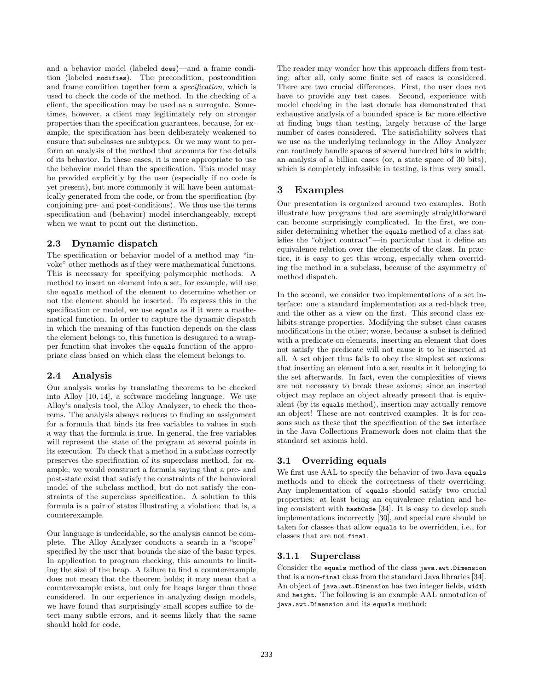and a behavior model (labeled does)—and a frame condition (labeled modifies). The precondition, postcondition and frame condition together form a specification, which is used to check the code of the method. In the checking of a client, the specification may be used as a surrogate. Sometimes, however, a client may legitimately rely on stronger properties than the specification guarantees, because, for example, the specification has been deliberately weakened to ensure that subclasses are subtypes. Or we may want to perform an analysis of the method that accounts for the details of its behavior. In these cases, it is more appropriate to use the behavior model than the specification. This model may be provided explicitly by the user (especially if no code is yet present), but more commonly it will have been automatically generated from the code, or from the specification (by conjoining pre- and post-conditions). We thus use the terms specification and (behavior) model interchangeably, except when we want to point out the distinction.

### 2.3 Dynamic dispatch

The specification or behavior model of a method may "invoke" other methods as if they were mathematical functions. This is necessary for specifying polymorphic methods. A method to insert an element into a set, for example, will use the equals method of the element to determine whether or not the element should be inserted. To express this in the specification or model, we use equals as if it were a mathematical function. In order to capture the dynamic dispatch in which the meaning of this function depends on the class the element belongs to, this function is desugared to a wrapper function that invokes the equals function of the appropriate class based on which class the element belongs to.

### 2.4 Analysis

Our analysis works by translating theorems to be checked into Alloy [10, 14], a software modeling language. We use Alloy's analysis tool, the Alloy Analyzer, to check the theorems. The analysis always reduces to finding an assignment for a formula that binds its free variables to values in such a way that the formula is true. In general, the free variables will represent the state of the program at several points in its execution. To check that a method in a subclass correctly preserves the specification of its superclass method, for example, we would construct a formula saying that a pre- and post-state exist that satisfy the constraints of the behavioral model of the subclass method, but do not satisfy the constraints of the superclass specification. A solution to this formula is a pair of states illustrating a violation: that is, a counterexample.

Our language is undecidable, so the analysis cannot be complete. The Alloy Analyzer conducts a search in a "scope" specified by the user that bounds the size of the basic types. In application to program checking, this amounts to limiting the size of the heap. A failure to find a counterexample does not mean that the theorem holds; it may mean that a counterexample exists, but only for heaps larger than those considered. In our experience in analyzing design models, we have found that surprisingly small scopes suffice to detect many subtle errors, and it seems likely that the same should hold for code.

The reader may wonder how this approach differs from testing; after all, only some finite set of cases is considered. There are two crucial differences. First, the user does not have to provide any test cases. Second, experience with model checking in the last decade has demonstrated that exhaustive analysis of a bounded space is far more effective at finding bugs than testing, largely because of the large number of cases considered. The satisfiability solvers that we use as the underlying technology in the Alloy Analyzer can routinely handle spaces of several hundred bits in width; an analysis of a billion cases (or, a state space of 30 bits), which is completely infeasible in testing, is thus very small.

### 3 Examples

Our presentation is organized around two examples. Both illustrate how programs that are seemingly straightforward can become surprisingly complicated. In the first, we consider determining whether the equals method of a class satisfies the "object contract"—in particular that it define an equivalence relation over the elements of the class. In practice, it is easy to get this wrong, especially when overriding the method in a subclass, because of the asymmetry of method dispatch.

In the second, we consider two implementations of a set interface: one a standard implementation as a red-black tree, and the other as a view on the first. This second class exhibits strange properties. Modifying the subset class causes modifications in the other; worse, because a subset is defined with a predicate on elements, inserting an element that does not satisfy the predicate will not cause it to be inserted at all. A set object thus fails to obey the simplest set axioms: that inserting an element into a set results in it belonging to the set afterwards. In fact, even the complexities of views are not necessary to break these axioms; since an inserted object may replace an object already present that is equivalent (by its equals method), insertion may actually remove an object! These are not contrived examples. It is for reasons such as these that the specification of the Set interface in the Java Collections Framework does not claim that the standard set axioms hold.

### 3.1 Overriding equals

We first use AAL to specify the behavior of two Java equals methods and to check the correctness of their overriding. Any implementation of equals should satisfy two crucial properties: at least being an equivalence relation and being consistent with hashCode [34]. It is easy to develop such implementations incorrectly [30], and special care should be taken for classes that allow equals to be overridden, i.e., for classes that are not final.

### 3.1.1 Superclass

Consider the equals method of the class java.awt.Dimension that is a non-final class from the standard Java libraries [34]. An object of java.awt.Dimension has two integer fields, width and height. The following is an example AAL annotation of java.awt.Dimension and its equals method: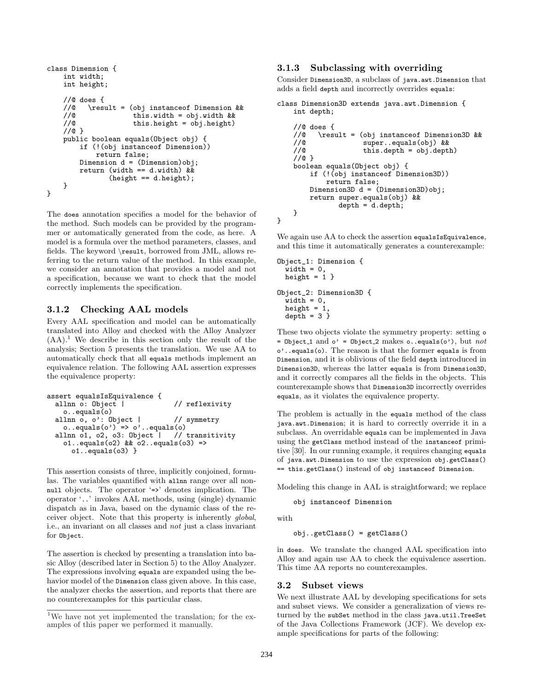```
class Dimension {
    int width;
    int height;
    //@ does {<br>//@ \resp
         //@ \result = (obj instanceof Dimension &&
    //@ this.width = obj.width &&
    //@ this.height = obj.height)
    //@ }
   public boolean equals(Object obj) {
        if (!(obj instanceof Dimension))
           return false;
       Dimension d = (Dimension)obj;
        return (width == d. width) &&
               (height == d.height);
    }
}
```
The does annotation specifies a model for the behavior of the method. Such models can be provided by the programmer or automatically generated from the code, as here. A model is a formula over the method parameters, classes, and fields. The keyword \result, borrowed from JML, allows referring to the return value of the method. In this example, we consider an annotation that provides a model and not a specification, because we want to check that the model correctly implements the specification.

#### 3.1.2 Checking AAL models

Every AAL specification and model can be automatically translated into Alloy and checked with the Alloy Analyzer  $(AA)$ <sup>1</sup>. We describe in this section only the result of the analysis; Section 5 presents the translation. We use AA to automatically check that all equals methods implement an equivalence relation. The following AAL assertion expresses the equivalence property:

```
assert equalsIsEquivalence {
  allnn o: Object | // reflexivity
    o..equals(o)
  allnn o, o': Object | // symmetry
    o..equals(o') => o'..equals(o)<br>lnn o1, o2, o3: Object | // transitivity
  allnn 01, 02, 03: Object |
    o1..equals(o2) & o2..equals(o3) =>
      o1..equals(o3) }
```
This assertion consists of three, implicitly conjoined, formulas. The variables quantified with allnn range over all nonnull objects. The operator '=>' denotes implication. The operator '..' invokes AAL methods, using (single) dynamic dispatch as in Java, based on the dynamic class of the receiver object. Note that this property is inherently global, i.e., an invariant on all classes and not just a class invariant for Object.

The assertion is checked by presenting a translation into basic Alloy (described later in Section 5) to the Alloy Analyzer. The expressions involving equals are expanded using the behavior model of the Dimension class given above. In this case, the analyzer checks the assertion, and reports that there are no counterexamples for this particular class.

#### 3.1.3 Subclassing with overriding

Consider Dimension3D, a subclass of java.awt.Dimension that adds a field depth and incorrectly overrides equals:

```
class Dimension3D extends java.awt.Dimension {
   int depth;
```

```
//@ does {
    //@ \result = (obj instanceof Dimension3D & & <br>//@ super..equals(obj) & &
    %//@ super..equals(obj) & //<br>//@ this.depth = obj.dept
                         this.depth = obj.depth)//@ }
    boolean equals(Object obj) {
         if (!(obj instanceof Dimension3D))
              return false;
         Dimension3D d = (Dimension3D)obj;
         return super.equals(obj) &&
                  depth = d.depth;
    }
}
```
We again use AA to check the assertion equalsIsEquivalence, and this time it automatically generates a counterexample:

```
Object_1: Dimension {
 width = 0,height = 1 }
Object_2: Dimension3D {
 width = 0,height = 1,
 depth = 3}
```
These two objects violate the symmetry property: setting o = Object\_1 and  $o'$  = Object\_2 makes  $o$ ..equals( $o'$ ), but not o'..equals(o). The reason is that the former equals is from Dimension, and it is oblivious of the field depth introduced in Dimension3D, whereas the latter equals is from Dimension3D, and it correctly compares all the fields in the objects. This counterexample shows that Dimension3D incorrectly overrides equals, as it violates the equivalence property.

The problem is actually in the equals method of the class java.awt.Dimension; it is hard to correctly override it in a subclass. An overridable equals can be implemented in Java using the getClass method instead of the instanceof primitive [30]. In our running example, it requires changing equals of java.awt.Dimension to use the expression obj.getClass() == this.getClass() instead of obj instanceof Dimension.

Modeling this change in AAL is straightforward; we replace

obj instanceof Dimension

with

obj..getClass() = getClass()

in does. We translate the changed AAL specification into Alloy and again use AA to check the equivalence assertion. This time AA reports no counterexamples.

#### 3.2 Subset views

We next illustrate AAL by developing specifications for sets and subset views. We consider a generalization of views returned by the subSet method in the class java.util.TreeSet of the Java Collections Framework (JCF). We develop example specifications for parts of the following:

<sup>&</sup>lt;sup>1</sup>We have not yet implemented the translation; for the examples of this paper we performed it manually.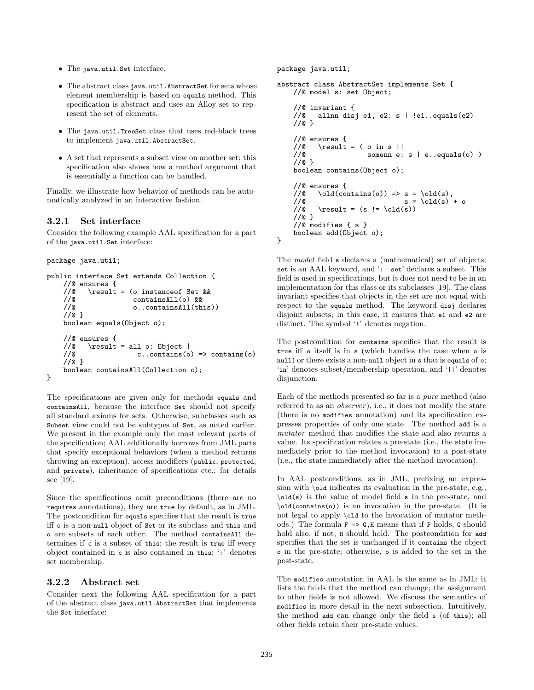- The java.util.Set interface.
- The abstract class java.util.AbstractSet for sets whose element membership is based on equals method. This specification is abstract and uses an Alloy set to represent the set of elements.
- The java.util.TreeSet class that uses red-black trees to implement java.util.AbstractSet.
- A set that represents a subset view on another set; this specification also shows how a method argument that is essentially a function can be handled.

Finally, we illustrate how behavior of methods can be automatically analyzed in an interactive fashion.

#### 3.2.1 Set interface

Consider the following example AAL specification for a part of the java.util.Set interface:

```
package java.util;
```

```
public interface Set extends Collection {
    //@ ensures {<br>//@ \result
    //@ \result = (o instanceof Set & & //@ contains All(o) & &
                         //@ containsAll(o) &&
    //@ o..containsAll(this))
    //@ }
    boolean equals(Object o);
    //@ ensures {
    //@ \result = all o: Object |<br>//@ c..contains(o
                          c..contains(o) \Rightarrow contains(o)//@ }
    boolean containsAll(Collection c);
}
```
The specifications are given only for methods equals and containsAll, because the interface Set should not specify all standard axioms for sets. Otherwise, subclasses such as Subset view could not be subtypes of Set, as noted earlier. We present in the example only the most relevant parts of the specification; AAL additionally borrows from JML parts that specify exceptional behaviors (when a method returns throwing an exception), access modifiers (public, protected, and private), inheritance of specifications etc.; for details see [19].

Since the specifications omit preconditions (there are no requires annotations), they are true by default, as in JML. The postcondition for equals specifies that the result is true iff o is a non-null object of Set or its subclass and this and o are subsets of each other. The method containsAll determines if c is a subset of this; the result is true iff every object contained in c is also contained in this; ':' denotes set membership.

#### 3.2.2 Abstract set

Consider next the following AAL specification for a part of the abstract class java.util.AbstractSet that implements the Set interface:

package java.util;

```
abstract class AbstractSet implements Set {
    //@ model s: set Object;
    //@ invariant {
    //@ allnn disj e1, e2: s | !e1..equals(e2)
    //@ }
    //@ ensures {
    //@ \result = ( o in s ||<br>//@ somenn e:
                         somenn e: s \mid e..equals(o))
    //@ }
    boolean contains(Object o);
    //@ ensures {<br>//@ \old(co
    //@ \old(contains(o)) => s = \old(s),<br>//@ s = \old(s)
    //@ s = \old(s) + o<br>//@ \result = (s != \old(s))
            \text{result} = (s != \old(s))//@ }
    //@ modifies { s }
    boolean add(Object o);
}
```
The model field s declares a (mathematical) set of objects; set is an AAL keyword, and ': set' declares a subset. This field is used in specifications, but it does not need to be in an implementation for this class or its subclasses [19]. The class invariant specifies that objects in the set are not equal with respect to the equals method. The keyword disj declares disjoint subsets; in this case, it ensures that e1 and e2 are distinct. The symbol '!' denotes negation.

The postcondition for contains specifies that the result is true iff o itself is in s (which handles the case when o is null) or there exists a non-null object in s that is equals of o; 'in' denotes subset/membership operation, and '||' denotes disjunction.

Each of the methods presented so far is a pure method (also referred to as an *observer*), i.e., it does not modify the state (there is no modifies annotation) and its specification expresses properties of only one state. The method add is a mutator method that modifies the state and also returns a value. Its specification relates a pre-state (i.e., the state immediately prior to the method invocation) to a post-state (i.e., the state immediately after the method invocation).

In AAL postconditions, as in JML, prefixing an expression with \old indicates its evaluation in the pre-state, e.g., \old(s) is the value of model field s in the pre-state, and \old(contains(o)) is an invocation in the pre-state. (It is not legal to apply \old to the invocation of mutator methods.) The formula  $F \Rightarrow G,H$  means that if F holds, G should hold also; if not,  $H$  should hold. The postcondition for add specifies that the set is unchanged if it contains the object o in the pre-state; otherwise, o is added to the set in the post-state.

The modifies annotation in AAL is the same as in JML: it lists the fields that the method can change; the assignment to other fields is not allowed. We discuss the semantics of modifies in more detail in the next subsection. Intuitively, the method add can change only the field s (of this); all other fields retain their pre-state values.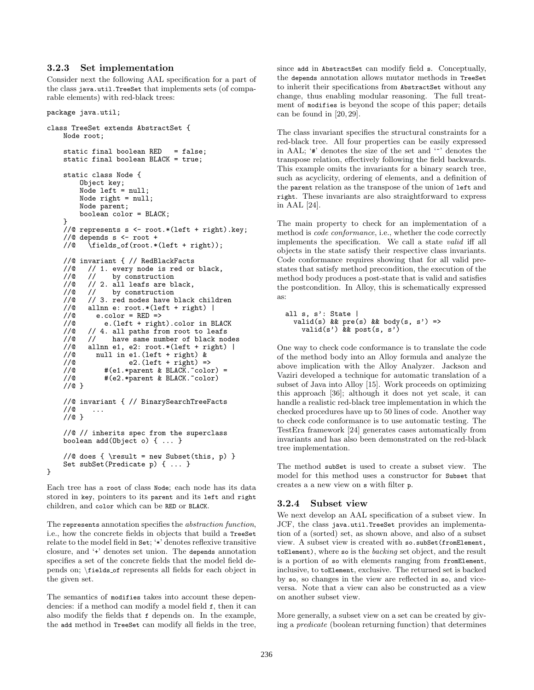#### 3.2.3 Set implementation

Consider next the following AAL specification for a part of the class java.util.TreeSet that implements sets (of comparable elements) with red-black trees:

#### package java.util;

}

```
class TreeSet extends AbstractSet {
    Node root;
    static final boolean RED = false;
    static final boolean BLACK = true;
    static class Node {
          Object key;
          Node left = null;
         Node right = null;
         Node parent;
          boolean color = BLACK;
    }
    //@ represents s <- root.*(left + right).key;
    //@ depends s <- root +
    //@ \fields_of(root.*(left + right));
    //@ invariant { // RedBlackFacts
    //@ // 1. every node is red or black, // @ // by construction// by construction
    //@ // 2. all leafs are black,<br>//@ // by construction
    1/@ 1/ by construction<br>1/@ 1/ 3. red nodes have b
    //@ // 3. red nodes have black children<br>//@ allnn e: root.*(left + right) |//@ allnn e: root.*(left + right) |<br>//@ e.color = RED =>
               e.\text{color} = RED \Rightarrow//@ e.(left + right).color in BLACK
    //@ // 4. all paths from root to leafs
    //@ // have same number of black nodes
    //@ allnn e1, e2: root.*(left + right) |<br>//@ null in e1.(left + right) &<br>//@ e2.(left + right) =>
              null in e1. (left + right) &
    //@ e2.(left + right) =><br>//@ #(e1.*parent & BLACK.~colo
    //@ #(e1.*parent & BLACK.~color) =<br>//@ #(e2.*parent & BLACK.~color)
                 #(e2.*parent & BLACK.~color)
    //@ }
    //@ invariant { // BinarySearchTreeFacts
    //@ ...
    //@ }
    //@ // inherits spec from the superclass
    boolean add(Object o) { ... }
     //@ does { \result = new Subset(this, p) }
    Set subSet(Predicate p) { ... }
```
Each tree has a root of class Node; each node has its data stored in key, pointers to its parent and its left and right children, and color which can be RED or BLACK.

The represents annotation specifies the abstraction function, i.e., how the concrete fields in objects that build a TreeSet relate to the model field in Set; '\*' denotes reflexive transitive closure, and '+' denotes set union. The depends annotation specifies a set of the concrete fields that the model field depends on; \fields of represents all fields for each object in the given set.

The semantics of modifies takes into account these dependencies: if a method can modify a model field f, then it can also modify the fields that f depends on. In the example, the add method in TreeSet can modify all fields in the tree,

since add in AbstractSet can modify field s. Conceptually, the depends annotation allows mutator methods in TreeSet to inherit their specifications from AbstractSet without any change, thus enabling modular reasoning. The full treatment of modifies is beyond the scope of this paper; details can be found in [20, 29].

The class invariant specifies the structural constraints for a red-black tree. All four properties can be easily expressed in AAL; '#' denotes the size of the set and '~' denotes the transpose relation, effectively following the field backwards. This example omits the invariants for a binary search tree, such as acyclicity, ordering of elements, and a definition of the parent relation as the transpose of the union of left and right. These invariants are also straightforward to express in AAL [24].

The main property to check for an implementation of a method is code conformance, i.e., whether the code correctly implements the specification. We call a state valid iff all objects in the state satisfy their respective class invariants. Code conformance requires showing that for all valid prestates that satisfy method precondition, the execution of the method body produces a post-state that is valid and satisfies the postcondition. In Alloy, this is schematically expressed as:

```
all s, s': State |
  valid(s) && pre(s) && body(s, s') =>
    valid(s') \& post(s, s')
```
One way to check code conformance is to translate the code of the method body into an Alloy formula and analyze the above implication with the Alloy Analyzer. Jackson and Vaziri developed a technique for automatic translation of a subset of Java into Alloy [15]. Work proceeds on optimizing this approach [36]; although it does not yet scale, it can handle a realistic red-black tree implementation in which the checked procedures have up to 50 lines of code. Another way to check code conformance is to use automatic testing. The TestEra framework [24] generates cases automatically from invariants and has also been demonstrated on the red-black tree implementation.

The method subSet is used to create a subset view. The model for this method uses a constructor for Subset that creates a a new view on s with filter p.

#### 3.2.4 Subset view

We next develop an AAL specification of a subset view. In JCF, the class java.util.TreeSet provides an implementation of a (sorted) set, as shown above, and also of a subset view. A subset view is created with so.subSet(fromElement, toElement), where so is the backing set object, and the result is a portion of so with elements ranging from fromElement, inclusive, to toElement, exclusive. The returned set is backed by so, so changes in the view are reflected in so, and viceversa. Note that a view can also be constructed as a view on another subset view.

More generally, a subset view on a set can be created by giving a predicate (boolean returning function) that determines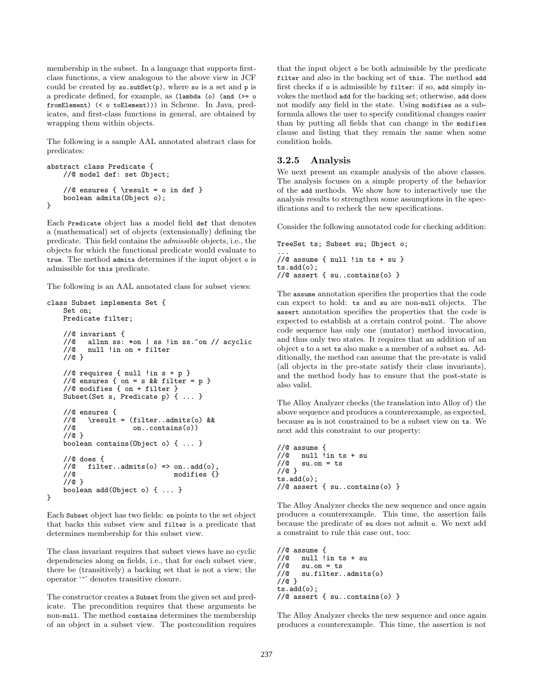membership in the subset. In a language that supports firstclass functions, a view analogous to the above view in JCF could be created by so.subSet(p), where so is a set and p is a predicate defined, for example, as (lambda (o) (and (>= o fromElement) (< o toElement))) in Scheme. In Java, predicates, and first-class functions in general, are obtained by wrapping them within objects.

The following is a sample AAL annotated abstract class for predicates:

```
abstract class Predicate {
    //@ model def: set Object;
    //@ ensures { \result = o in def }
    boolean admits(Object o);
}
```
Each Predicate object has a model field def that denotes a (mathematical) set of objects (extensionally) defining the predicate. This field contains the admissible objects, i.e., the objects for which the functional predicate would evaluate to true. The method admits determines if the input object o is admissible for this predicate.

The following is an AAL annotated class for subset views:

```
class Subset implements Set {
    Set on;
    Predicate filter;
    //@ invariant {
    //@ allnn ss: *on | ss !in ss.^on // acyclic<br>//@ null !in on + filter
           null !in on + filter
    //@ }
    //@ requires { null !in s + p }
    //@ ensures { on = s && filter = p }
    //@ modifies { on + filter }
    Subset(Set s, Predicate p) { ... }
    //@ ensures {<br>//@ \result
    //@ \result = (filter..admits(o) & <br>//@ on..contains(o))
                         on..contains(o))
    //@ }
    boolean contains(Object o) { ... }
    //@ does {
    //@ filter..admits(o) => on..add(o)<br>//@ modifies {
                                    modifies {}
     //@ }
    boolean add(Object o) { ... }
}
```
Each Subset object has two fields: on points to the set object that backs this subset view and filter is a predicate that determines membership for this subset view.

The class invariant requires that subset views have no cyclic dependencies along on fields, i.e., that for each subset view, there be (transitively) a backing set that is not a view; the operator '^' denotes transitive closure.

The constructor creates a Subset from the given set and predicate. The precondition requires that these arguments be non-null. The method contains determines the membership of an object in a subset view. The postcondition requires

that the input object o be both admissible by the predicate filter and also in the backing set of this. The method add first checks if o is admissible by filter: if so, add simply invokes the method add for the backing set; otherwise, add does not modify any field in the state. Using modifies as a subformula allows the user to specify conditional changes easier than by putting all fields that can change in the modifies clause and listing that they remain the same when some condition holds.

#### 3.2.5 Analysis

We next present an example analysis of the above classes. The analysis focuses on a simple property of the behavior of the add methods. We show how to interactively use the analysis results to strengthen some assumptions in the specifications and to recheck the new specifications.

Consider the following annotated code for checking addition:

```
TreeSet ts; Subset su; Object o;
...
//@ assume { null !in ts + su }
ts.add(o);
//@ assert { su..contains(o) }
```
The assume annotation specifies the properties that the code can expect to hold: ts and su are non-null objects. The assert annotation specifies the properties that the code is expected to establish at a certain control point. The above code sequence has only one (mutator) method invocation, and thus only two states. It requires that an addition of an object o to a set ts also make o a member of a subset su. Additionally, the method can assume that the pre-state is valid (all objects in the pre-state satisfy their class invariants), and the method body has to ensure that the post-state is also valid.

The Alloy Analyzer checks (the translation into Alloy of) the above sequence and produces a counterexample, as expected, because su is not constrained to be a subset view on ts. We next add this constraint to our property:

```
//@ assume {
//@null lin ts + su<br>//@su,on = tssu.on = ts//@ }
ts.add(o);//@ assert { su..contains(o) }
```
The Alloy Analyzer checks the new sequence and once again produces a counterexample. This time, the assertion fails because the predicate of su does not admit o. We next add a constraint to rule this case out, too:

```
//@ assume {
//@ null !in ts + su<br>//@ su.on = ts
//@ su.on = ts<br>//@ su.filter.
       su.filter..admits(o)
//@ }
ts.add(o);
//@ assert { su..contains(o) }
```
The Alloy Analyzer checks the new sequence and once again produces a counterexample. This time, the assertion is not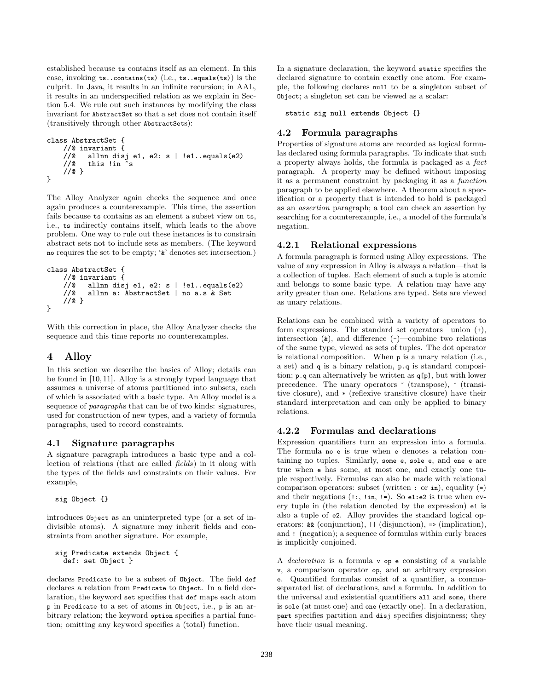established because ts contains itself as an element. In this case, invoking ts..contains(ts) (i.e., ts..equals(ts)) is the culprit. In Java, it results in an infinite recursion; in AAL, it results in an underspecified relation as we explain in Section 5.4. We rule out such instances by modifying the class invariant for AbstractSet so that a set does not contain itself (transitively through other AbstractSets):

```
class AbstractSet {
    //@ invariant {
    //@ allnn disj e1, e2: s | !e1..equals(e2)
    //@ this !in \tilde{S}//@ }
}
```
The Alloy Analyzer again checks the sequence and once again produces a counterexample. This time, the assertion fails because ts contains as an element a subset view on ts, i.e., ts indirectly contains itself, which leads to the above problem. One way to rule out these instances is to constrain abstract sets not to include sets as members. (The keyword no requires the set to be empty; '&' denotes set intersection.)

```
class AbstractSet {
     //@ invariant {
     //@ allnn disj e1, e2: s | !e1..equals(e2)<br>//@ allnn a: AbstractSet | no a s & Set
             allnn a: AbstractSet | no a.s & Set
     //@ }
}
```
With this correction in place, the Alloy Analyzer checks the sequence and this time reports no counterexamples.

## 4 Alloy

In this section we describe the basics of Alloy; details can be found in [10, 11]. Alloy is a strongly typed language that assumes a universe of atoms partitioned into subsets, each of which is associated with a basic type. An Alloy model is a sequence of paragraphs that can be of two kinds: signatures, used for construction of new types, and a variety of formula paragraphs, used to record constraints.

### 4.1 Signature paragraphs

A signature paragraph introduces a basic type and a collection of relations (that are called fields) in it along with the types of the fields and constraints on their values. For example,

sig Object {}

introduces Object as an uninterpreted type (or a set of indivisible atoms). A signature may inherit fields and constraints from another signature. For example,

```
sig Predicate extends Object {
  def: set Object }
```
declares Predicate to be a subset of Object. The field def declares a relation from Predicate to Object. In a field declaration, the keyword set specifies that def maps each atom p in Predicate to a set of atoms in Object, i.e., p is an arbitrary relation; the keyword option specifies a partial function; omitting any keyword specifies a (total) function.

In a signature declaration, the keyword static specifies the declared signature to contain exactly one atom. For example, the following declares null to be a singleton subset of Object; a singleton set can be viewed as a scalar:

static sig null extends Object {}

### 4.2 Formula paragraphs

Properties of signature atoms are recorded as logical formulas declared using formula paragraphs. To indicate that such a property always holds, the formula is packaged as a fact paragraph. A property may be defined without imposing it as a permanent constraint by packaging it as a function paragraph to be applied elsewhere. A theorem about a specification or a property that is intended to hold is packaged as an assertion paragraph; a tool can check an assertion by searching for a counterexample, i.e., a model of the formula's negation.

### 4.2.1 Relational expressions

A formula paragraph is formed using Alloy expressions. The value of any expression in Alloy is always a relation—that is a collection of tuples. Each element of such a tuple is atomic and belongs to some basic type. A relation may have any arity greater than one. Relations are typed. Sets are viewed as unary relations.

Relations can be combined with a variety of operators to form expressions. The standard set operators—union (+), intersection  $(x)$ , and difference  $(-)$ —combine two relations of the same type, viewed as sets of tuples. The dot operator is relational composition. When p is a unary relation (i.e., a set) and q is a binary relation, p.q is standard composition; p.q can alternatively be written as q[p], but with lower precedence. The unary operators ~ (transpose), ^ (transitive closure), and \* (reflexive transitive closure) have their standard interpretation and can only be applied to binary relations.

### 4.2.2 Formulas and declarations

Expression quantifiers turn an expression into a formula. The formula no e is true when e denotes a relation containing no tuples. Similarly, some e, sole e, and one e are true when e has some, at most one, and exactly one tuple respectively. Formulas can also be made with relational comparison operators: subset (written : or in), equality  $(=)$ and their negations  $(!!$ ;  $\exists$  in,  $!=$ ). So e1:e2 is true when every tuple in (the relation denoted by the expression) e1 is also a tuple of e2. Alloy provides the standard logical operators: && (conjunction), || (disjunction), => (implication), and ! (negation); a sequence of formulas within curly braces is implicitly conjoined.

A declaration is a formula v op e consisting of a variable v, a comparison operator op, and an arbitrary expression e. Quantified formulas consist of a quantifier, a commaseparated list of declarations, and a formula. In addition to the universal and existential quantifiers all and some, there is sole (at most one) and one (exactly one). In a declaration, part specifies partition and disj specifies disjointness; they have their usual meaning.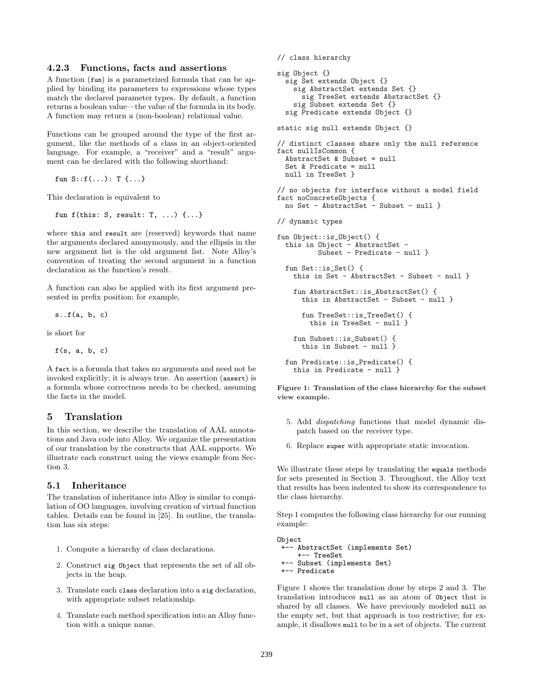#### 4.2.3 Functions, facts and assertions

A function (fun) is a parametrized formula that can be applied by binding its parameters to expressions whose types match the declared parameter types. By default, a function returns a boolean value—the value of the formula in its body. A function may return a (non-boolean) relational value.

Functions can be grouped around the type of the first argument, like the methods of a class in an object-oriented language. For example, a "receiver" and a "result" argument can be declared with the following shorthand:

fun S::f(...): T {...}

This declaration is equivalent to

```
fun f(this: S, result: T, ...) {...}
```
where this and result are (reserved) keywords that name the arguments declared anonymously, and the ellipsis in the new argument list is the old argument list. Note Alloy's convention of treating the second argument in a function declaration as the function's result.

A function can also be applied with its first argument presented in prefix position; for example,

 $s.f(a, b, c)$ 

is short for

```
f(s, a, b, c)
```
A fact is a formula that takes no arguments and need not be invoked explicitly; it is always true. An assertion (assert) is a formula whose correctness needs to be checked, assuming the facts in the model.

### 5 Translation

In this section, we describe the translation of AAL annotations and Java code into Alloy. We organize the presentation of our translation by the constructs that AAL supports. We illustrate each construct using the views example from Section 3.

#### 5.1 Inheritance

The translation of inheritance into Alloy is similar to compilation of OO languages, involving creation of virtual function tables. Details can be found in [25]. In outline, the translation has six steps:

- 1. Compute a hierarchy of class declarations.
- 2. Construct sig Object that represents the set of all objects in the heap.
- 3. Translate each class declaration into a sig declaration, with appropriate subset relationship.
- 4. Translate each method specification into an Alloy function with a unique name.

```
// class hierarchy
sig Object {}
  sig Set extends Object {}
    sig AbstractSet extends Set {}
      sig TreeSet extends AbstractSet {}
    sig Subset extends Set {}
  sig Predicate extends Object {}
static sig null extends Object {}
```

```
// distinct classes share only the null reference
fact nullIsCommon {
 AbstractSet & Subset = null
 Set & Predicate = null
 null in TreeSet }
// no objects for interface without a model field
```

```
fact noConcreteObjects {
 no Set - AbstractSet - Subset - null }
```
// dynamic types

```
fun Object::is_Object() {
  this in Object - AbstractSet -
          Subset - Predicate - null }
 fun Set::is_Set() {
    this in Set - AbstractSet - Subset - null }
    fun AbstractSet::is_AbstractSet() {
      this in AbstractSet - Subset - null }
      fun TreeSet::is_TreeSet() {
        this in TreeSet - null }
    fun Subset::is Subset() {
      this in Subset - null }
 fun Predicate::is_Predicate() {
    this in Predicate - null }
```
Figure 1: Translation of the class hierarchy for the subset view example.

- 5. Add dispatching functions that model dynamic dispatch based on the receiver type.
- 6. Replace super with appropriate static invocation.

We illustrate these steps by translating the equals methods for sets presented in Section 3. Throughout, the Alloy text that results has been indented to show its correspondence to the class hierarchy.

Step 1 computes the following class hierarchy for our running example:

Object +-- AbstractSet (implements Set) +-- TreeSet +-- Subset (implements Set) +-- Predicate

Figure 1 shows the translation done by steps 2 and 3. The translation introduces null as an atom of Object that is shared by all classes. We have previously modeled null as the empty set, but that approach is too restrictive; for example, it disallows null to be in a set of objects. The current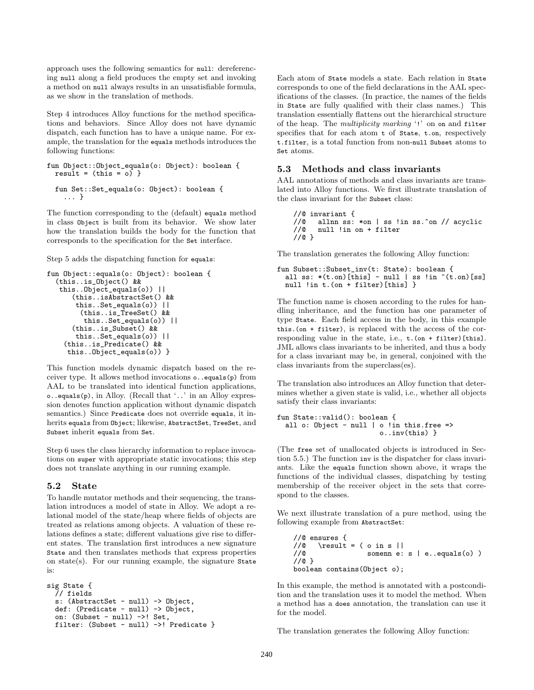approach uses the following semantics for null: dereferencing null along a field produces the empty set and invoking a method on null always results in an unsatisfiable formula, as we show in the translation of methods.

Step 4 introduces Alloy functions for the method specifications and behaviors. Since Alloy does not have dynamic dispatch, each function has to have a unique name. For example, the translation for the equals methods introduces the following functions:

```
fun Object::Object_equals(o: Object): boolean {
 result = (this = 0) }
 fun Set::Set_equals(o: Object): boolean {
    ... }
```
The function corresponding to the (default) equals method in class Object is built from its behavior. We show later how the translation builds the body for the function that corresponds to the specification for the Set interface.

Step 5 adds the dispatching function for equals:

```
fun Object::equals(o: Object): boolean {
  (this..is_Object() &&
   this..Object_equals(o)) ||
      (this..isAbstractSet() &&
       this..Set_equals(o)) ||
        (this..is_TreeSet() &&
         this..Set_equals(o)) ||
      (this..is_Subset() &&
       this..Set_equals(o)) ||
    (this..is_Predicate() &&
     this..Object_equals(o)) }
```
This function models dynamic dispatch based on the receiver type. It allows method invocations o..equals(p) from AAL to be translated into identical function applications, o..equals(p), in Alloy. (Recall that '..' in an Alloy expression denotes function application without dynamic dispatch semantics.) Since Predicate does not override equals, it inherits equals from Object; likewise, AbstractSet, TreeSet, and Subset inherit equals from Set.

Step 6 uses the class hierarchy information to replace invocations on super with appropriate static invocations; this step does not translate anything in our running example.

### 5.2 State

To handle mutator methods and their sequencing, the translation introduces a model of state in Alloy. We adopt a relational model of the state/heap where fields of objects are treated as relations among objects. A valuation of these relations defines a state; different valuations give rise to different states. The translation first introduces a new signature State and then translates methods that express properties on state(s). For our running example, the signature State is:

```
sig State {
  // fields
 s: (AbstractSet - null) -> Object,
 def: (Predicate - null) -> Object,
 on: (Subset - null) ->! Set,
 filter: (Subset - null) ->! Predicate }
```
Each atom of State models a state. Each relation in State corresponds to one of the field declarations in the AAL specifications of the classes. (In practice, the names of the fields in State are fully qualified with their class names.) This translation essentially flattens out the hierarchical structure of the heap. The multiplicity marking '!' on on and filter specifies that for each atom t of State, t.on, respectively t.filter, is a total function from non-null Subset atoms to Set atoms.

### 5.3 Methods and class invariants

AAL annotations of methods and class invariants are translated into Alloy functions. We first illustrate translation of the class invariant for the Subset class:

```
//@ invariant {<br>//@ allnn ss:
//@ allnn ss: *on | ss !in ss.^on // acyclic<br>//@ null !in on + filter
        null !in on + filter
//@ }
```
The translation generates the following Alloy function:

```
fun Subset::Subset_inv(t: State): boolean {
  all ss: *(t \cdot on)[this] - null | ss !in *(t \cdot on)[ss]
  null !in t. (on + filter) [this] }
```
The function name is chosen according to the rules for handling inheritance, and the function has one parameter of type State. Each field access in the body, in this example this.(on + filter), is replaced with the access of the corresponding value in the state, i.e.,  $t.(on + filter)$ [this]. JML allows class invariants to be inherited, and thus a body for a class invariant may be, in general, conjoined with the class invariants from the superclass(es).

The translation also introduces an Alloy function that determines whether a given state is valid, i.e., whether all objects satisfy their class invariants:

```
fun State::valid(): boolean {
  all o: Object - null | o !in this. free =>
                         o..inv(this) }
```
(The free set of unallocated objects is introduced in Section 5.5.) The function inv is the dispatcher for class invariants. Like the equals function shown above, it wraps the functions of the individual classes, dispatching by testing membership of the receiver object in the sets that correspond to the classes.

We next illustrate translation of a pure method, using the following example from AbstractSet:

```
//@ ensures {<br>//@ \result
      \text{result} = ( o in s ||)//@ somenn e: s | e..equals(o) )
//@ }
boolean contains(Object o);
```
In this example, the method is annotated with a postcondition and the translation uses it to model the method. When a method has a does annotation, the translation can use it for the model.

The translation generates the following Alloy function: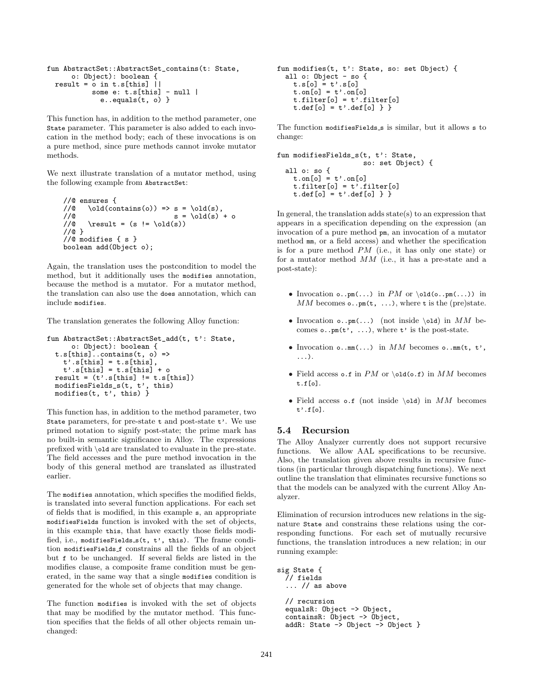```
fun AbstractSet::AbstractSet_contains(t: State,
     o: Object): boolean {
 result = o in t.s[this] ||some e: t.s[this] - nulle..equals(t, o) }
```
This function has, in addition to the method parameter, one State parameter. This parameter is also added to each invocation in the method body; each of these invocations is on a pure method, since pure methods cannot invoke mutator methods.

We next illustrate translation of a mutator method, using the following example from AbstractSet:

```
//@ ensures {
//@ \old(contains(o)) => s = \old(s),<br>//@ s = \old(s)
//@ s = \old(s) + o<br>
//@ \result = (s != \old(s))
       \text{result} = (s != \old(s))//@ }
//@ modifies { s }
boolean add(Object o);
```
Again, the translation uses the postcondition to model the method, but it additionally uses the modifies annotation, because the method is a mutator. For a mutator method, the translation can also use the does annotation, which can include modifies.

The translation generates the following Alloy function:

```
fun AbstractSet::AbstractSet_add(t, t': State,
      o: Object): boolean {
  t.s[this]..contains(t, o) =>
    t'.s[this] = t.s[this],t'.s[this] = t.s[this] + oresult = (t'.s[this] := t.s[this])modifiesFields_s(t, t', this)
 modifies(t, t', this) }
```
This function has, in addition to the method parameter, two State parameters, for pre-state t and post-state t'. We use primed notation to signify post-state; the prime mark has no built-in semantic significance in Alloy. The expressions prefixed with \old are translated to evaluate in the pre-state. The field accesses and the pure method invocation in the body of this general method are translated as illustrated earlier.

The modifies annotation, which specifies the modified fields, is translated into several function applications. For each set of fields that is modified, in this example s, an appropriate modifiesFields function is invoked with the set of objects, in this example this, that have exactly those fields modified, i.e., modifiesFields s(t, t', this). The frame condition modifiesFields f constrains all the fields of an object but f to be unchanged. If several fields are listed in the modifies clause, a composite frame condition must be generated, in the same way that a single modifies condition is generated for the whole set of objects that may change.

The function modifies is invoked with the set of objects that may be modified by the mutator method. This function specifies that the fields of all other objects remain unchanged:

```
fun modifies(t, t': State, so: set Object) {
  all o: Object - so {
     t.s[0] = t'.s[0]t \cdot \text{on} [\circ] = t' \cdot \text{on} [\circ]t.filter[o] = t'.filter[o]
     t.def[o] = t'.def[o] } }
```
The function modifiesFields\_s is similar, but it allows s to change:

```
fun modifiesFields_s(t, t': State,
                          so: set Object) {
  all o: so {
     t \cdot \text{on} [\circ] = t' \cdot \text{on} [\circ]t.filter[o] = t'.filter[o]t.def[o] = t'.def[o] } }
```
In general, the translation adds state(s) to an expression that appears in a specification depending on the expression (an invocation of a pure method pm, an invocation of a mutator method mm, or a field access) and whether the specification is for a pure method PM (i.e., it has only one state) or for a mutator method MM (i.e., it has a pre-state and a post-state):

- Invocation  $\circ \cdot \text{pm}(\dots)$  in PM or  $\cdot \text{old}(\circ \cdot \text{pm}(\dots))$  in MM becomes  $\circ \cdot \cdot$ pm(t, ...), where t is the (pre)state.
- Invocation  $\circ \cdot \cdot \text{pm}(\dots)$  (not inside \old) in MM becomes  $\circ \cdot \cdot \text{pm}(\mathbf{t'}, \dots)$ , where  $\mathbf{t'}$  is the post-state.
- Invocation  $\circ$ ..mm $\ldots$ ) in MM becomes  $\circ$ ..mm $\circ$ t, t', ...).
- Field access o.f in  $PM$  or  $\old(o.f)$  in  $MM$  becomes t.f[o].
- Field access  $\circ$ .f (not inside \old) in MM becomes t'.f[o].

### 5.4 Recursion

The Alloy Analyzer currently does not support recursive functions. We allow AAL specifications to be recursive. Also, the translation given above results in recursive functions (in particular through dispatching functions). We next outline the translation that eliminates recursive functions so that the models can be analyzed with the current Alloy Analyzer.

Elimination of recursion introduces new relations in the signature State and constrains these relations using the corresponding functions. For each set of mutually recursive functions, the translation introduces a new relation; in our running example:

```
sig State {
  // fields
  ... // as above
  // recursion
  equalsR: Object -> Object,
 containsR: Object -> Object,
  addR: State -> Object -> Object }
```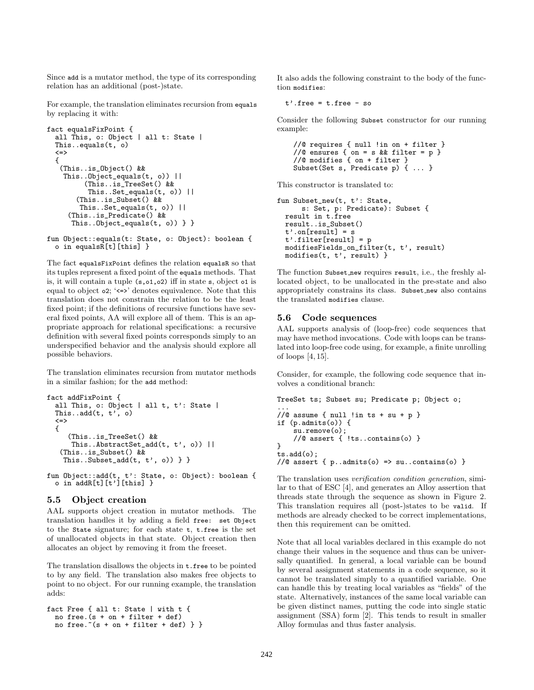Since add is a mutator method, the type of its corresponding relation has an additional (post-)state.

For example, the translation eliminates recursion from equals by replacing it with:

```
fact equalsFixPoint {
 all This, o: Object | all t: State |
 This..equals(t, o)
  \leq{
   (This..is_Object() &&
    This..Object_equals(t, o)) ||
         (This..is_TreeSet() &&
          This..Set_equals(t, o)) ||
       (This..is_Subset() &&
        This..Set_equals(t, o)) ||
     (This..is_Predicate() &&
      This..0bject_equals(t, o)) } }
```

```
fun Object::equals(t: State, o: Object): boolean {
 o in equalsR[t][this] }
```
The fact equalsFixPoint defines the relation equalsR so that its tuples represent a fixed point of the equals methods. That is, it will contain a tuple (s,o1,o2) iff in state s, object o1 is equal to object  $o2$ ; '<=>' denotes equivalence. Note that this translation does not constrain the relation to be the least fixed point; if the definitions of recursive functions have several fixed points, AA will explore all of them. This is an appropriate approach for relational specifications: a recursive definition with several fixed points corresponds simply to an underspecified behavior and the analysis should explore all possible behaviors.

The translation eliminates recursion from mutator methods in a similar fashion; for the add method:

```
fact addFixPoint {
 all This, o: Object | all t, t': State |
 This..add(t, t', o)<=>
 {
     (This..is_TreeSet() &&
      This..AbstractSet_add(t, t', o)) ||
   (This..is_Subset() &&
    This..Subset_add(t, t', o)) } }
```
fun Object::add(t, t': State, o: Object): boolean { o in  $addR[t][t']$ [this] }

#### 5.5 Object creation

AAL supports object creation in mutator methods. The translation handles it by adding a field free: set Object to the State signature; for each state t, t.free is the set of unallocated objects in that state. Object creation then allocates an object by removing it from the freeset.

The translation disallows the objects in t.free to be pointed to by any field. The translation also makes free objects to point to no object. For our running example, the translation adds:

```
fact Free { all t: State | with t {
 no free. (s + on + filter + def)no free. *(s + on + filter + def) \}
```
It also adds the following constraint to the body of the function modifies:

 $t'.$  free =  $t.f$ ree - so

Consider the following Subset constructor for our running example:

```
//@ requires { null !in on + filter }
//@ ensures { on = s && filter = p }
//@ modifies { on + filter }
Subset(Set s, Predicate p) { ... }
```
This constructor is translated to:

```
fun Subset_new(t, t': State,
      s: Set, p: Predicate): Subset {
 result in t.free
 result..is_Subset()
  t'.on[result] = st'.filter[result] = p
 modifiesFields_on_filter(t, t', result)
 modifies(t, t', result) }
```
The function Subset new requires result, i.e., the freshly allocated object, to be unallocated in the pre-state and also appropriately constrains its class. Subset new also contains the translated modifies clause.

#### 5.6 Code sequences

AAL supports analysis of (loop-free) code sequences that may have method invocations. Code with loops can be translated into loop-free code using, for example, a finite unrolling of loops [4, 15].

Consider, for example, the following code sequence that involves a conditional branch:

```
TreeSet ts; Subset su; Predicate p; Object o;
...
//@ assume { null !in ts + su + p }
if (p.admits(o)) {
    su.remove(o);
    //@ assert { !ts..contains(o) }
}
ts.add(o);
//@ assert { p.\nadmits(0) => su.\ncontains(0) }
```
The translation uses *verification condition generation*, similar to that of ESC [4], and generates an Alloy assertion that threads state through the sequence as shown in Figure 2. This translation requires all (post-)states to be valid. If methods are already checked to be correct implementations, then this requirement can be omitted.

Note that all local variables declared in this example do not change their values in the sequence and thus can be universally quantified. In general, a local variable can be bound by several assignment statements in a code sequence, so it cannot be translated simply to a quantified variable. One can handle this by treating local variables as "fields" of the state. Alternatively, instances of the same local variable can be given distinct names, putting the code into single static assignment (SSA) form [2]. This tends to result in smaller Alloy formulas and thus faster analysis.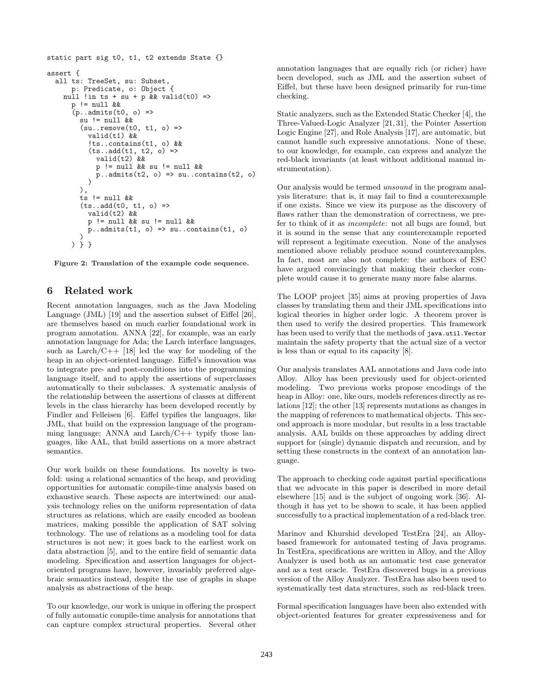```
static part sig t0, t1, t2 extends State {}
assert {
  all ts: TreeSet, su: Subset,
      p: Predicate, o: Object {
    null !in ts + su + p && valid(t0) =>
      p != null &&
      (p.\nadmits(t0, o) =su != null &&
        (su..remove(t0, t1, o) =>
          valid(t1) &&
          !ts..contains(t1, o) &&
          (ts..add(t1, t2, o) =>
            valid(t2) &&
            p != null && su != null &&
            p.\nandmits(t2, o) \Rightarrow su.\ncontains(t2, o))
        ),
        ts != null & &
        (ts..add(t0, t1, o) =>
          valid(t2) &&
          p != null && su != null &&
          p.addmits(t1, o) \Rightarrow su.contains(t1, o))
      ) } }
```
Figure 2: Translation of the example code sequence.

### 6 Related work

Recent annotation languages, such as the Java Modeling Language (JML) [19] and the assertion subset of Eiffel [26], are themselves based on much earlier foundational work in program annotation. ANNA [22], for example, was an early annotation language for Ada; the Larch interface languages, such as  $\text{Larch}/\text{C++}$  [18] led the way for modeling of the heap in an object-oriented language. Eiffel's innovation was to integrate pre- and post-conditions into the programming language itself, and to apply the assertions of superclasses automatically to their subclasses. A systematic analysis of the relationship between the assertions of classes at different levels in the class hierarchy has been developed recently by Findler and Felleisen [6]. Eiffel typifies the languages, like JML, that build on the expression language of the programming language; ANNA and Larch/C++ typify those languages, like AAL, that build assertions on a more abstract semantics.

Our work builds on these foundations. Its novelty is twofold: using a relational semantics of the heap, and providing opportunities for automatic compile-time analysis based on exhaustive search. These aspects are intertwined: our analysis technology relies on the uniform representation of data structures as relations, which are easily encoded as boolean matrices, making possible the application of SAT solving technology. The use of relations as a modeling tool for data structures is not new; it goes back to the earliest work on data abstraction [5], and to the entire field of semantic data modeling. Specification and assertion languages for objectoriented programs have, however, invariably preferred algebraic semantics instead, despite the use of graphs in shape analysis as abstractions of the heap.

To our knowledge, our work is unique in offering the prospect of fully automatic compile-time analysis for annotations that can capture complex structural properties. Several other

annotation languages that are equally rich (or richer) have been developed, such as JML and the assertion subset of Eiffel, but these have been designed primarily for run-time checking.

Static analyzers, such as the Extended Static Checker [4], the Three-Valued-Logic Analyzer [21, 31], the Pointer Assertion Logic Engine [27], and Role Analysis [17], are automatic, but cannot handle such expressive annotations. None of these, to our knowledge, for example, can express and analyze the red-black invariants (at least without additional manual instrumentation).

Our analysis would be termed unsound in the program analysis literature: that is, it may fail to find a counterexample if one exists. Since we view its purpose as the discovery of flaws rather than the demonstration of correctness, we prefer to think of it as *incomplete*: not all bugs are found, but it is sound in the sense that any counterexample reported will represent a legitimate execution. None of the analyses mentioned above reliably produce sound counterexamples. In fact, most are also not complete: the authors of ESC have argued convincingly that making their checker complete would cause it to generate many more false alarms.

The LOOP project [35] aims at proving properties of Java classes by translating them and their JML specifications into logical theories in higher order logic. A theorem prover is then used to verify the desired properties. This framework has been used to verify that the methods of java.util.Vector maintain the safety property that the actual size of a vector is less than or equal to its capacity [8].

Our analysis translates AAL annotations and Java code into Alloy. Alloy has been previously used for object-oriented modeling. Two previous works propose encodings of the heap in Alloy: one, like ours, models references directly as relations [12]; the other [13] represents mutations as changes in the mapping of references to mathematical objects. This second approach is more modular, but results in a less tractable analysis. AAL builds on these approaches by adding direct support for (single) dynamic dispatch and recursion, and by setting these constructs in the context of an annotation language.

The approach to checking code against partial specifications that we advocate in this paper is described in more detail elsewhere [15] and is the subject of ongoing work [36]. Although it has yet to be shown to scale, it has been applied successfully to a practical implementation of a red-black tree.

Marinov and Khurshid developed TestEra [24], an Alloybased framework for automated testing of Java programs. In TestEra, specifications are written in Alloy, and the Alloy Analyzer is used both as an automatic test case generator and as a test oracle. TestEra discovered bugs in a previous version of the Alloy Analyzer. TestEra has also been used to systematically test data structures, such as red-black trees.

Formal specification languages have been also extended with object-oriented features for greater expressiveness and for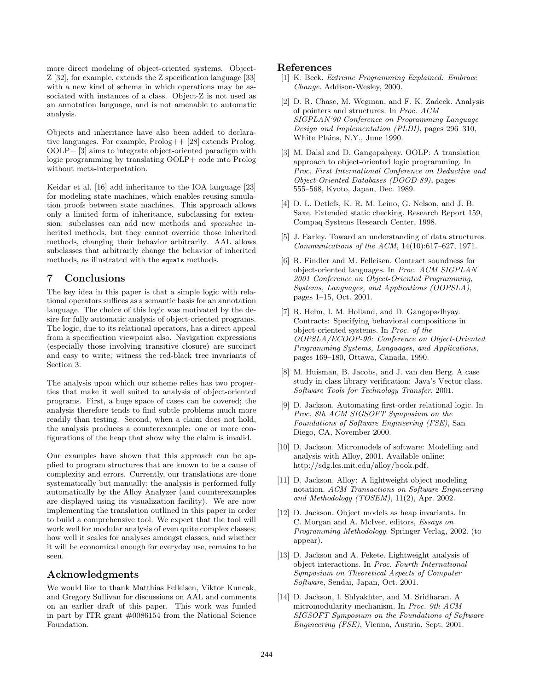more direct modeling of object-oriented systems. Object-Z [32], for example, extends the Z specification language [33] with a new kind of schema in which operations may be associated with instances of a class. Object-Z is not used as an annotation language, and is not amenable to automatic analysis.

Objects and inheritance have also been added to declarative languages. For example, Prolog++ [28] extends Prolog. OOLP+ [3] aims to integrate object-oriented paradigm with logic programming by translating OOLP+ code into Prolog without meta-interpretation.

Keidar et al. [16] add inheritance to the IOA language [23] for modeling state machines, which enables reusing simulation proofs between state machines. This approach allows only a limited form of inheritance, subclassing for extension: subclasses can add new methods and specialize inherited methods, but they cannot override those inherited methods, changing their behavior arbitrarily. AAL allows subclasses that arbitrarily change the behavior of inherited methods, as illustrated with the equals methods.

### 7 Conclusions

The key idea in this paper is that a simple logic with relational operators suffices as a semantic basis for an annotation language. The choice of this logic was motivated by the desire for fully automatic analysis of object-oriented programs. The logic, due to its relational operators, has a direct appeal from a specification viewpoint also. Navigation expressions (especially those involving transitive closure) are succinct and easy to write; witness the red-black tree invariants of Section 3.

The analysis upon which our scheme relies has two properties that make it well suited to analysis of object-oriented programs. First, a huge space of cases can be covered; the analysis therefore tends to find subtle problems much more readily than testing. Second, when a claim does not hold, the analysis produces a counterexample: one or more configurations of the heap that show why the claim is invalid.

Our examples have shown that this approach can be applied to program structures that are known to be a cause of complexity and errors. Currently, our translations are done systematically but manually; the analysis is performed fully automatically by the Alloy Analyzer (and counterexamples are displayed using its visualization facility). We are now implementing the translation outlined in this paper in order to build a comprehensive tool. We expect that the tool will work well for modular analysis of even quite complex classes; how well it scales for analyses amongst classes, and whether it will be economical enough for everyday use, remains to be seen.

### Acknowledgments

We would like to thank Matthias Felleisen, Viktor Kuncak, and Gregory Sullivan for discussions on AAL and comments on an earlier draft of this paper. This work was funded in part by ITR grant #0086154 from the National Science Foundation.

### References

- [1] K. Beck. Extreme Programming Explained: Embrace Change. Addison-Wesley, 2000.
- [2] D. R. Chase, M. Wegman, and F. K. Zadeck. Analysis of pointers and structures. In Proc. ACM SIGPLAN'90 Conference on Programming Language Design and Implementation (PLDI), pages 296–310, White Plains, N.Y., June 1990.
- [3] M. Dalal and D. Gangopahyay. OOLP: A translation approach to object-oriented logic programming. In Proc. First International Conference on Deductive and Object-Oriented Databases (DOOD-89), pages 555–568, Kyoto, Japan, Dec. 1989.
- [4] D. L. Detlefs, K. R. M. Leino, G. Nelson, and J. B. Saxe. Extended static checking. Research Report 159, Compaq Systems Research Center, 1998.
- [5] J. Earley. Toward an understanding of data structures. Communications of the ACM, 14(10):617–627, 1971.
- [6] R. Findler and M. Felleisen. Contract soundness for object-oriented languages. In Proc. ACM SIGPLAN 2001 Conference on Object-Oriented Programming, Systems, Languages, and Applications (OOPSLA), pages 1–15, Oct. 2001.
- [7] R. Helm, I. M. Holland, and D. Gangopadhyay. Contracts: Specifying behavioral compositions in object-oriented systems. In Proc. of the OOPSLA/ECOOP-90: Conference on Object-Oriented Programming Systems, Languages, and Applications, pages 169–180, Ottawa, Canada, 1990.
- [8] M. Huisman, B. Jacobs, and J. van den Berg. A case study in class library verification: Java's Vector class. Software Tools for Technology Transfer, 2001.
- [9] D. Jackson. Automating first-order relational logic. In Proc. 8th ACM SIGSOFT Symposium on the Foundations of Software Engineering (FSE), San Diego, CA, November 2000.
- [10] D. Jackson. Micromodels of software: Modelling and analysis with Alloy, 2001. Available online: http://sdg.lcs.mit.edu/alloy/book.pdf.
- [11] D. Jackson. Alloy: A lightweight object modeling notation. ACM Transactions on Software Engineering and Methodology (TOSEM),  $11(2)$ , Apr. 2002.
- [12] D. Jackson. Object models as heap invariants. In C. Morgan and A. McIver, editors, Essays on Programming Methodology. Springer Verlag, 2002. (to appear).
- [13] D. Jackson and A. Fekete. Lightweight analysis of object interactions. In Proc. Fourth International Symposium on Theoretical Aspects of Computer Software, Sendai, Japan, Oct. 2001.
- [14] D. Jackson, I. Shlyakhter, and M. Sridharan. A micromodularity mechanism. In Proc. 9th ACM SIGSOFT Symposium on the Foundations of Software Engineering (FSE), Vienna, Austria, Sept. 2001.